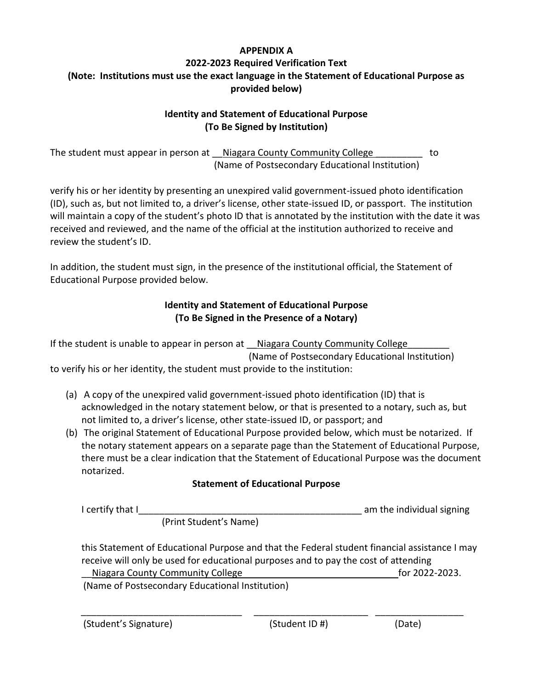#### **APPENDIX A**

# **2022-2023 Required Verification Text (Note: Institutions must use the exact language in the Statement of Educational Purpose as provided below)**

# **Identity and Statement of Educational Purpose (To Be Signed by Institution)**

The student must appear in person at \_\_Niagara County Community College \_\_\_\_\_\_\_\_\_ to (Name of Postsecondary Educational Institution)

verify his or her identity by presenting an unexpired valid government-issued photo identification (ID), such as, but not limited to, a driver's license, other state-issued ID, or passport. The institution will maintain a copy of the student's photo ID that is annotated by the institution with the date it was received and reviewed, and the name of the official at the institution authorized to receive and review the student's ID.

In addition, the student must sign, in the presence of the institutional official, the Statement of Educational Purpose provided below.

### **Identity and Statement of Educational Purpose (To Be Signed in the Presence of a Notary)**

If the student is unable to appear in person at \_\_Niagara County Community College (Name of Postsecondary Educational Institution) to verify his or her identity, the student must provide to the institution:

- (a) A copy of the unexpired valid government-issued photo identification (ID) that is acknowledged in the notary statement below, or that is presented to a notary, such as, but not limited to, a driver's license, other state-issued ID, or passport; and
- (b) The original Statement of Educational Purpose provided below, which must be notarized. If the notary statement appears on a separate page than the Statement of Educational Purpose, there must be a clear indication that the Statement of Educational Purpose was the document notarized.

# **Statement of Educational Purpose**

| I certify that I |                        | am the individual signing |
|------------------|------------------------|---------------------------|
|                  | (Print Student's Name) |                           |

this Statement of Educational Purpose and that the Federal student financial assistance I may receive will only be used for educational purposes and to pay the cost of attending Niagara County Community College for 2022-2023.

\_\_\_\_\_\_\_\_\_\_\_\_\_\_\_\_\_\_\_\_\_\_\_\_\_\_\_\_\_\_\_ \_\_\_\_\_\_\_\_\_\_\_\_\_\_\_\_\_\_\_\_\_\_ \_\_\_\_\_\_\_\_\_\_\_\_\_\_\_\_\_

(Name of Postsecondary Educational Institution)

(Student's Signature) (Student ID #) (Date)